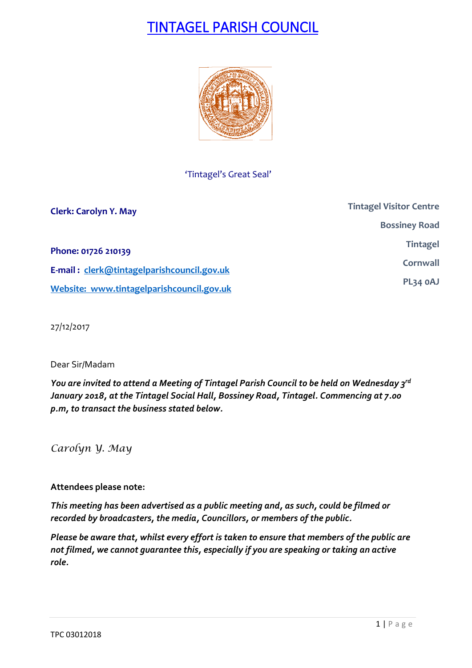# TINTAGEL PARISH COUNCIL



'Tintagel's Great Seal'

| <b>Clerk: Carolyn Y. May</b>               | <b>Tintagel Visitor Centre</b> |
|--------------------------------------------|--------------------------------|
|                                            | <b>Bossiney Road</b>           |
| Phone: 01726 210139                        | <b>Tintagel</b>                |
| E-mail: clerk@tintagelparishcouncil.gov.uk | Cornwall                       |
| Website: www.tintagelparishcouncil.gov.uk  | PL34 OAJ                       |

27/12/2017

### Dear Sir/Madam

*You are invited to attend a Meeting of Tintagel Parish Council to be held on Wednesday 3 rd January 2018, at the Tintagel Social Hall, Bossiney Road, Tintagel. Commencing at 7.00 p.m, to transact the business stated below.*

*Carolyn Y. May*

### **Attendees please note:**

*This meeting has been advertised as a public meeting and, as such, could be filmed or recorded by broadcasters, the media, Councillors, or members of the public.*

*Please be aware that, whilst every effort is taken to ensure that members of the public are not filmed, we cannot guarantee this, especially if you are speaking or taking an active role.*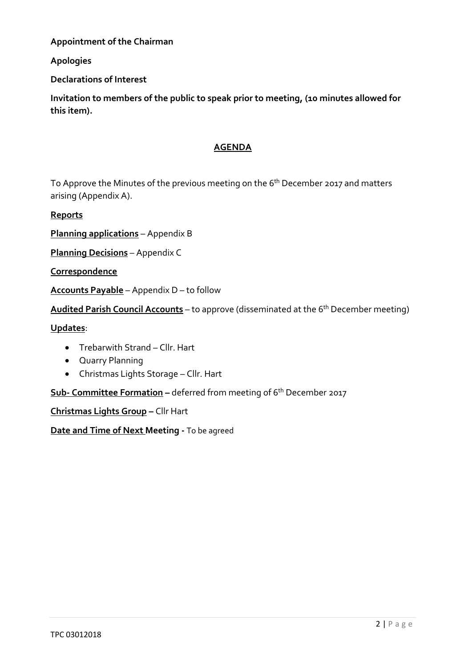**Appointment of the Chairman**

### **Apologies**

**Declarations of Interest**

**Invitation to members of the public to speak prior to meeting, (10 minutes allowed for this item).**

### **AGENDA**

To Approve the Minutes of the previous meeting on the 6<sup>th</sup> December 2017 and matters arising (Appendix A).

**Reports**

**Planning applications** – Appendix B

**Planning Decisions** – Appendix C

**Correspondence**

**Accounts Payable** – Appendix D – to follow

**Audited Parish Council Accounts** – to approve (disseminated at the 6th December meeting)

**Updates**:

- Trebarwith Strand Cllr. Hart
- Quarry Planning
- Christmas Lights Storage Cllr. Hart

**Sub- Committee Formation –** deferred from meeting of 6th December 2017

**Christmas Lights Group –** Cllr Hart

**Date and Time of Next Meeting -** To be agreed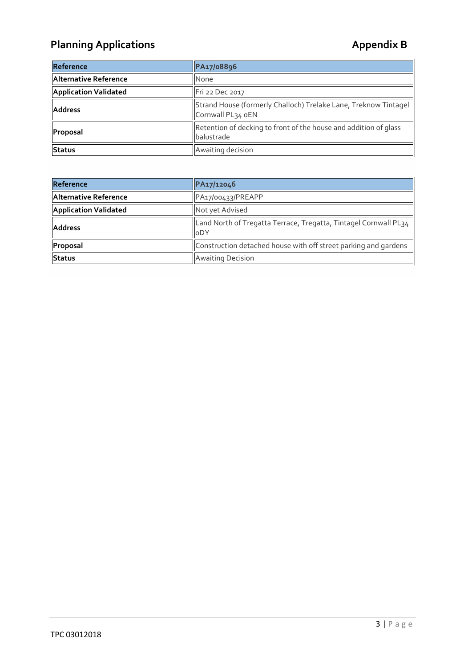## Planning Applications **Applications Appendix B**

| Reference             | PA17/08896                                                                           |
|-----------------------|--------------------------------------------------------------------------------------|
| Alternative Reference | <b>None</b>                                                                          |
| Application Validated | Fri 22 Dec 2017                                                                      |
| <b>Address</b>        | Strand House (formerly Challoch) Trelake Lane, Treknow Tintagel<br>Cornwall PL34 oEN |
| Proposal              | Retention of decking to front of the house and addition of glass<br>balustrade       |
| Status                | Awaiting decision                                                                    |

| Reference             | PA17/12046                                                                     |
|-----------------------|--------------------------------------------------------------------------------|
| Alternative Reference | PA17/00433/PREAPP                                                              |
| Application Validated | Not yet Advised                                                                |
| <b>Address</b>        | Land North of Tregatta Terrace, Tregatta, Tintagel Cornwall PL34<br><b>ODY</b> |
| Proposal              | Construction detached house with off street parking and gardens                |
| Status                | <b>Awaiting Decision</b>                                                       |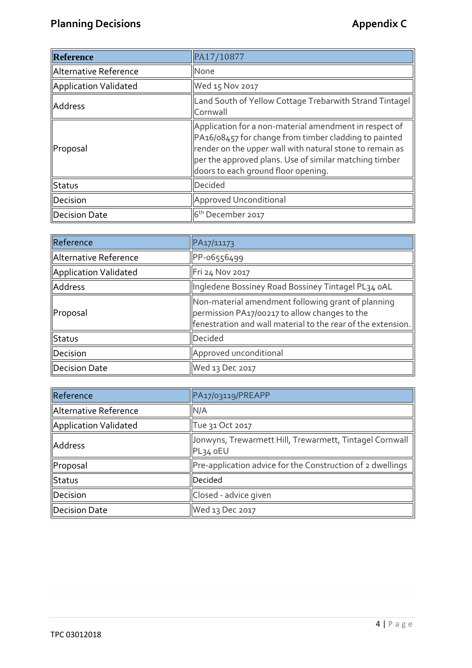| Reference             | PA17/10877                                                                                                                                                                                                                                                                   |
|-----------------------|------------------------------------------------------------------------------------------------------------------------------------------------------------------------------------------------------------------------------------------------------------------------------|
| Alternative Reference | None                                                                                                                                                                                                                                                                         |
| Application Validated | Wed 15 Nov 2017                                                                                                                                                                                                                                                              |
| Address               | Land South of Yellow Cottage Trebarwith Strand Tintagel<br>Cornwall                                                                                                                                                                                                          |
| Proposal              | Application for a non-material amendment in respect of<br>PA16/08457 for change from timber cladding to painted<br>render on the upper wall with natural stone to remain as<br>per the approved plans. Use of similar matching timber<br>doors to each ground floor opening. |
| Status                | Decided                                                                                                                                                                                                                                                                      |
| Decision              | Approved Unconditional                                                                                                                                                                                                                                                       |
| Decision Date         | 6 <sup>th</sup> December 2017                                                                                                                                                                                                                                                |

| Reference             | PA17/11173                                                                                                                                                          |
|-----------------------|---------------------------------------------------------------------------------------------------------------------------------------------------------------------|
| Alternative Reference | PP-06556499                                                                                                                                                         |
| Application Validated | Fri 24 Nov 2017                                                                                                                                                     |
| Address               | Ingledene Bossiney Road Bossiney Tintagel PL34 oAL                                                                                                                  |
| <b>Proposal</b>       | Non-material amendment following grant of planning<br>permission PA17/00217 to allow changes to the<br>fenestration and wall material to the rear of the extension. |
| Status                | Decided                                                                                                                                                             |
| Decision              | Approved unconditional                                                                                                                                              |
| Decision Date         | Wed 13 Dec 2017                                                                                                                                                     |

| Reference             | PA17/03119/PREAPP                                                     |
|-----------------------|-----------------------------------------------------------------------|
| Alternative Reference | N/A                                                                   |
| Application Validated | Tue 31 Oct 2017                                                       |
| Address               | Jonwyns, Trewarmett Hill, Trewarmett, Tintagel Cornwall<br>$PL34$ oEU |
| Proposal              | Pre-application advice for the Construction of 2 dwellings            |
| Status                | Decided                                                               |
| Decision              | Closed - advice given                                                 |
| Decision Date         | Wed 13 Dec 2017                                                       |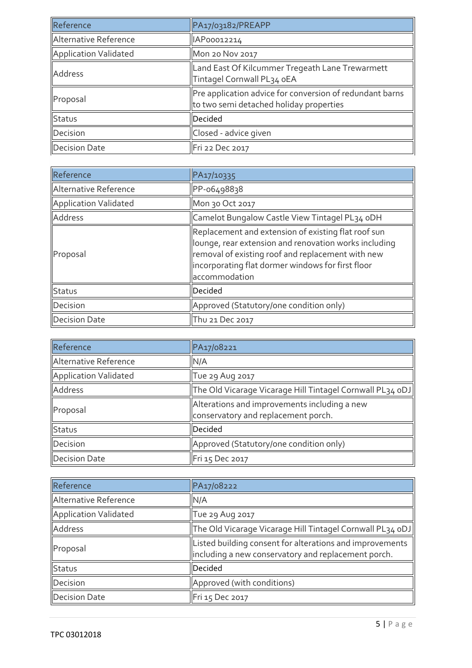| Reference             | PA17/03182/PREAPP                                                                                   |
|-----------------------|-----------------------------------------------------------------------------------------------------|
| Alternative Reference | IAP00012214                                                                                         |
| Application Validated | <b>Mon 20 Nov 2017</b>                                                                              |
| Address               | Land East Of Kilcummer Tregeath Lane Trewarmett<br>Tintagel Cornwall PL34 oEA                       |
| Proposal              | Pre application advice for conversion of redundant barns<br>to two semi detached holiday properties |
| Status                | Decided                                                                                             |
| Decision              | Closed - advice given                                                                               |
| <b>Decision Date</b>  | Fri 22 Dec 2017                                                                                     |

| Reference             | PA17/10335                                                                                                                                                                                                                              |
|-----------------------|-----------------------------------------------------------------------------------------------------------------------------------------------------------------------------------------------------------------------------------------|
| Alternative Reference | PP-06498838                                                                                                                                                                                                                             |
| Application Validated | Mon 30 Oct 2017                                                                                                                                                                                                                         |
| Address               | Camelot Bungalow Castle View Tintagel PL34 oDH                                                                                                                                                                                          |
| Proposal              | Replacement and extension of existing flat roof sun<br>lounge, rear extension and renovation works including<br>removal of existing roof and replacement with new<br>incorporating flat dormer windows for first floor<br>accommodation |
| Status                | Decided                                                                                                                                                                                                                                 |
| Decision              | Approved (Statutory/one condition only)                                                                                                                                                                                                 |
| Decision Date         | Thu 21 Dec 2017                                                                                                                                                                                                                         |

| Reference             | PA17/08221                                                                          |
|-----------------------|-------------------------------------------------------------------------------------|
| Alternative Reference | N/A                                                                                 |
| Application Validated | Tue 29 Aug 2017                                                                     |
| Address               | $\left\ $ The Old Vicarage Vicarage Hill Tintagel Cornwall PL34 oDJ $\left\ $       |
| Proposal              | Alterations and improvements including a new<br>conservatory and replacement porch. |
| Status                | Decided                                                                             |
| Decision              | Approved (Statutory/one condition only)                                             |
| Decision Date         | Fri 15 Dec 2017                                                                     |

| Reference             | PA17/08222                                                                                                      |
|-----------------------|-----------------------------------------------------------------------------------------------------------------|
| Alternative Reference | N/A                                                                                                             |
| Application Validated | Tue 29 Aug 2017                                                                                                 |
| Address               | The Old Vicarage Vicarage Hill Tintagel Cornwall PL34 oDJ                                                       |
| Proposal              | Listed building consent for alterations and improvements<br>including a new conservatory and replacement porch. |
| Status                | Decided                                                                                                         |
| Decision              | Approved (with conditions)                                                                                      |
| Decision Date         | Fri 15 Dec 2017                                                                                                 |